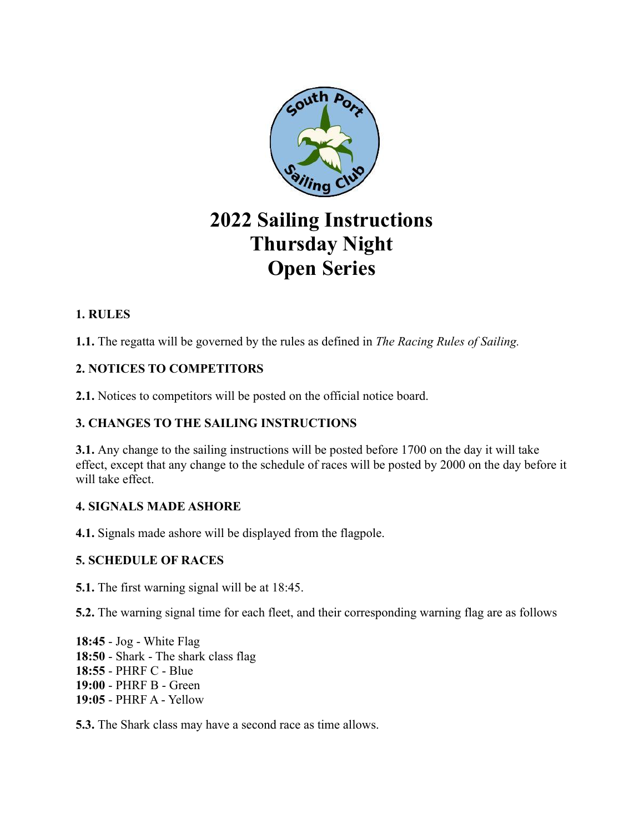

# **2022 Sailing Instructions Thursday Night Open Series**

# **1. RULES**

**1.1.** The regatta will be governed by the rules as defined in *The Racing Rules of Sailing.*

# **2. NOTICES TO COMPETITORS**

**2.1.** Notices to competitors will be posted on the official notice board.

## **3. CHANGES TO THE SAILING INSTRUCTIONS**

**3.1.** Any change to the sailing instructions will be posted before 1700 on the day it will take effect, except that any change to the schedule of races will be posted by 2000 on the day before it will take effect.

### **4. SIGNALS MADE ASHORE**

**4.1.** Signals made ashore will be displayed from the flagpole.

### **5. SCHEDULE OF RACES**

**5.1.** The first warning signal will be at 18:45.

**5.2.** The warning signal time for each fleet, and their corresponding warning flag are as follows

**18:45** - Jog - White Flag **18:50** - Shark - The shark class flag **18:55** - PHRF C - Blue **19:00** - PHRF B - Green **19:05** - PHRF A - Yellow

**5.3.** The Shark class may have a second race as time allows.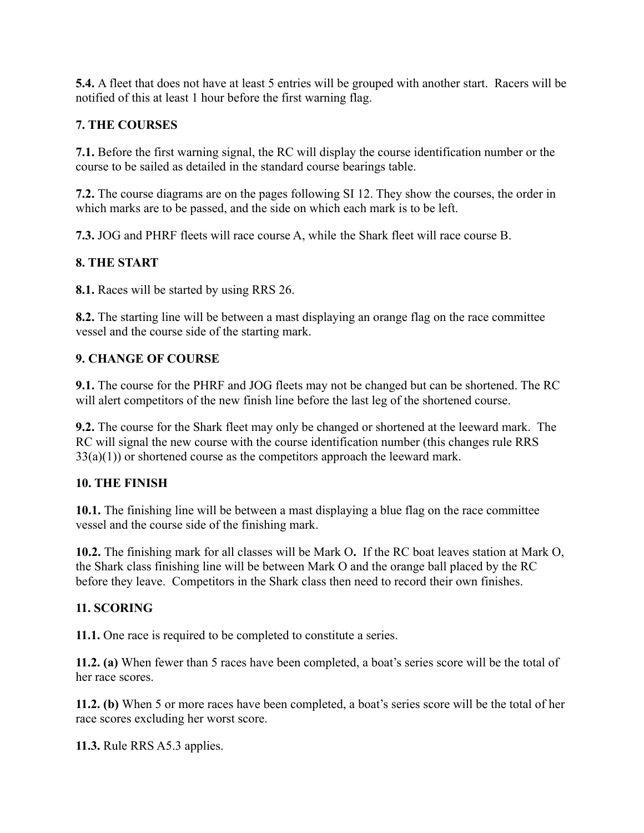**5.4.** A fleet that does not have at least 5 entries will be grouped with another start. Racers will be notified of this at least 1 hour before the first warning flag.

### **7. THE COURSES**

**7.1.** Before the first warning signal, the RC will display the course identification number or the course to be sailed as detailed in the standard course bearings table.

**7.2.** The course diagrams are on the pages following SI 12. They show the courses, the order in which marks are to be passed, and the side on which each mark is to be left.

**7.3.** JOG and PHRF fleets will race course A, while the Shark fleet will race course B.

#### **8. THE START**

**8.1.** Races will be started by using RRS 26.

**8.2.** The starting line will be between a mast displaying an orange flag on the race committee vessel and the course side of the starting mark.

#### **9. CHANGE OF COURSE**

**9.1.** The course for the PHRF and JOG fleets may not be changed but can be shortened. The RC will alert competitors of the new finish line before the last leg of the shortened course.

**9.2.** The course for the Shark fleet may only be changed or shortened at the leeward mark. The RC will signal the new course with the course identification number (this changes rule RRS  $33(a)(1)$ ) or shortened course as the competitors approach the leeward mark.

#### **10. THE FINISH**

**10.1.** The finishing line will be between a mast displaying a blue flag on the race committee vessel and the course side of the finishing mark.

**10.2.** The finishing mark for all classes will be Mark O**.** If the RC boat leaves station at Mark O, the Shark class finishing line will be between Mark O and the orange ball placed by the RC before they leave. Competitors in the Shark class then need to record their own finishes.

#### **11. SCORING**

**11.1.** One race is required to be completed to constitute a series.

**11.2. (a)** When fewer than 5 races have been completed, a boat's series score will be the total of her race scores.

**11.2. (b)** When 5 or more races have been completed, a boat's series score will be the total of her race scores excluding her worst score.

**11.3.** Rule RRS A5.3 applies.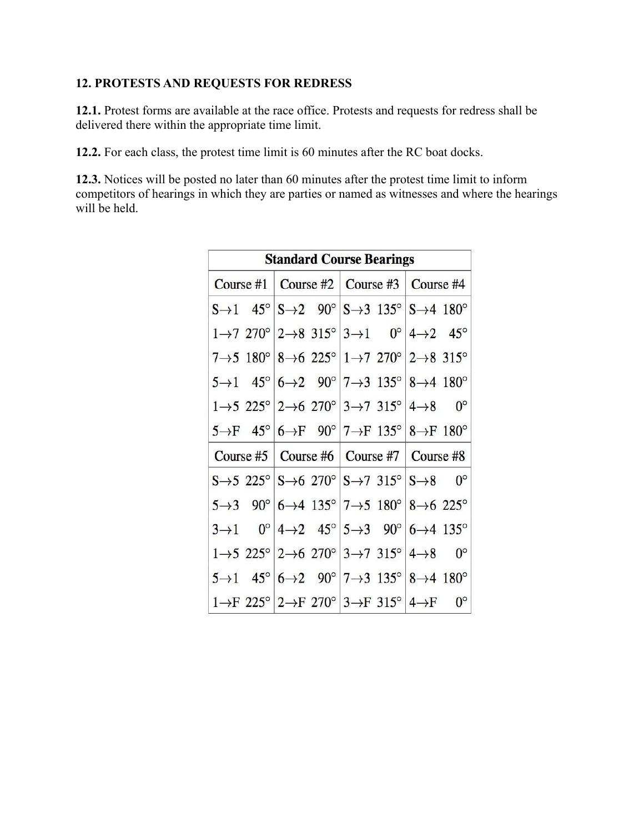## **12. PROTESTS AND REQUESTS FOR REDRESS**

**12.1.** Protest forms are available at the race office. Protests and requests for redress shall be delivered there within the appropriate time limit.

**12.2.** For each class, the protest time limit is 60 minutes after the RC boat docks.

**12.3.** Notices will be posted no later than 60 minutes after the protest time limit to inform competitors of hearings in which they are parties or named as witnesses and where the hearings will be held.

| <b>Standard Course Bearings</b> |                                                                                                                           |                                   |             |
|---------------------------------|---------------------------------------------------------------------------------------------------------------------------|-----------------------------------|-------------|
|                                 | Course #1   Course #2   Course #3   Course #4                                                                             |                                   |             |
|                                 | $S\rightarrow 1$ 45° $S\rightarrow 2$ 90° $S\rightarrow 3$ 135° $S\rightarrow 4$ 180°                                     |                                   |             |
|                                 | $1\rightarrow 7$ 270° $ 2\rightarrow 8$ 315° $ 3\rightarrow 1$ 0° $ 4\rightarrow 2$ 45°                                   |                                   |             |
|                                 | $7\rightarrow 5$ 180° $ 8\rightarrow 6$ 225° $ 1\rightarrow 7$ 270° $ 2\rightarrow 8$ 315°                                |                                   |             |
|                                 | $5\rightarrow 1$ $45^{\circ}$ $6\rightarrow 2$ $90^{\circ}$ $7\rightarrow 3$ $135^{\circ}$ $8\rightarrow 4$ $180^{\circ}$ |                                   |             |
|                                 | $1\rightarrow 5$ 225° $ 2\rightarrow 6$ 270° $ 3\rightarrow 7$ 315° $ 4\rightarrow 8$                                     |                                   | $0^{\circ}$ |
|                                 | $5\rightarrow F$ $45^{\circ}$ $6\rightarrow F$ $90^{\circ}$ $7\rightarrow F$ $135^{\circ}$ $8\rightarrow F$ $180^{\circ}$ |                                   |             |
| Course $#5$                     |                                                                                                                           | Course #6   Course #7   Course #8 |             |
|                                 | $S\rightarrow 5$ 225° $\mid S\rightarrow 6$ 270° $\mid S\rightarrow 7$ 315° $\mid S\rightarrow 8$                         |                                   | $0^{\circ}$ |
| $5 \rightarrow 3$               | $90^{\circ}$ 6 $\rightarrow$ 4 135° 7 $\rightarrow$ 5 180° 8 $\rightarrow$ 6 225°                                         |                                   |             |
| $3\rightarrow 1$                | $0^{\circ}$ 4 $\rightarrow$ 2 45° 5 $\rightarrow$ 3 90° 6 $\rightarrow$ 4 135°                                            |                                   |             |
|                                 | $1\rightarrow 5$ 225° $ 2\rightarrow 6$ 270° $ 3\rightarrow 7$ 315° $ 4\rightarrow 8$                                     |                                   | $0^{\circ}$ |
| $5 \rightarrow 1$               | $45^{\circ}$ 6 $\rightarrow$ 2 90° 7 $\rightarrow$ 3 135° 8 $\rightarrow$ 4 180°                                          |                                   |             |
|                                 | $1 \rightarrow F$ 225° $2 \rightarrow F$ 270° $3 \rightarrow F$ 315° $4 \rightarrow F$                                    |                                   | $0^{\circ}$ |